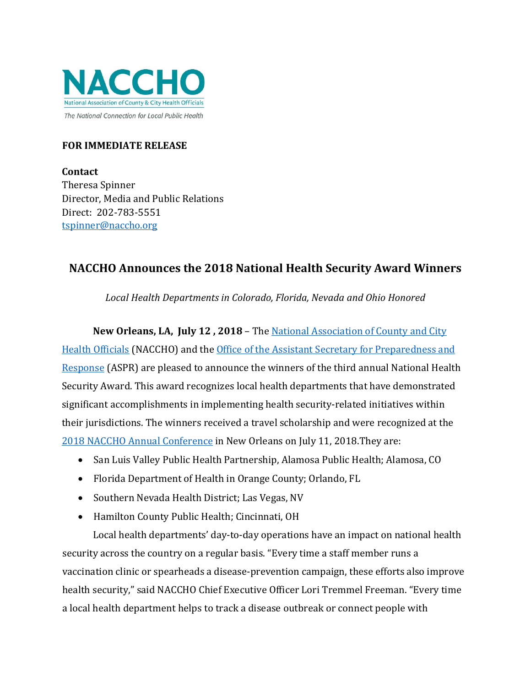

### **FOR IMMEDIATE RELEASE**

**Contact**  Theresa Spinner Director, Media and Public Relations Direct: 202-783-5551 tspinner@naccho.org

# **NACCHO Announces the 2018 National Health Security Award Winners**

*Local Health Departments in Colorado, Florida, Nevada and Ohio Honored*

**New Orleans, LA, July 12 , 2018** – The [National Association of County and City](http://www.nacchoannual.org/)  [Health Officials](http://www.nacchoannual.org/) (NACCHO) and the Office of the [Assistant Secretary for Preparedness and](https://www.phe.gov/about/aspr/pages/default.aspx)  [Response](https://www.phe.gov/about/aspr/pages/default.aspx) (ASPR) are pleased to announce the winners of the third annual National Health Security Award. This award recognizes local health departments that have demonstrated significant accomplishments in implementing health security-related initiatives within their jurisdictions. The winners received a travel scholarship and were recognized at the [2018 NACCHO Annual Conference](http://www.nacchoannual.org/) in New Orleans on July 11, 2018.They are:

- San Luis Valley Public Health Partnership, Alamosa Public Health; Alamosa, CO
- Florida Department of Health in Orange County; Orlando, FL
- Southern Nevada Health District; Las Vegas, NV
- Hamilton County Public Health; Cincinnati, OH

Local health departments' day-to-day operations have an impact on national health security across the country on a regular basis. "Every time a staff member runs a vaccination clinic or spearheads a disease-prevention campaign, these efforts also improve health security," said NACCHO Chief Executive Officer Lori Tremmel Freeman. "Every time a local health department helps to track a disease outbreak or connect people with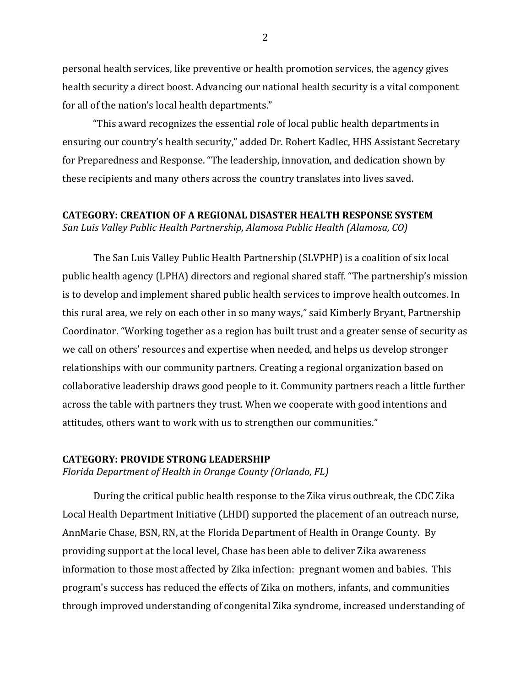personal health services, like preventive or health promotion services, the agency gives health security a direct boost. Advancing our national health security is a vital component for all of the nation's local health departments."

"This award recognizes the essential role of local public health departments in ensuring our country's health security," added Dr. Robert Kadlec, HHS Assistant Secretary for Preparedness and Response. "The leadership, innovation, and dedication shown by these recipients and many others across the country translates into lives saved.

## **CATEGORY: CREATION OF A REGIONAL DISASTER HEALTH RESPONSE SYSTEM**

*San Luis Valley Public Health Partnership, Alamosa Public Health (Alamosa, CO)*

The San Luis Valley Public Health Partnership (SLVPHP) is a coalition of six local public health agency (LPHA) directors and regional shared staff. "The partnership's mission is to develop and implement shared public health services to improve health outcomes. In this rural area, we rely on each other in so many ways," said Kimberly Bryant, Partnership Coordinator. "Working together as a region has built trust and a greater sense of security as we call on others' resources and expertise when needed, and helps us develop stronger relationships with our community partners. Creating a regional organization based on collaborative leadership draws good people to it. Community partners reach a little further across the table with partners they trust. When we cooperate with good intentions and attitudes, others want to work with us to strengthen our communities."

#### **CATEGORY: PROVIDE STRONG LEADERSHIP**

*Florida Department of Health in Orange County (Orlando, FL)*

During the critical public health response to the Zika virus outbreak, the CDC Zika Local Health Department Initiative (LHDI) supported the placement of an outreach nurse, AnnMarie Chase, BSN, RN, at the Florida Department of Health in Orange County. By providing support at the local level, Chase has been able to deliver Zika awareness information to those most affected by Zika infection: pregnant women and babies. This program's success has reduced the effects of Zika on mothers, infants, and communities through improved understanding of congenital Zika syndrome, increased understanding of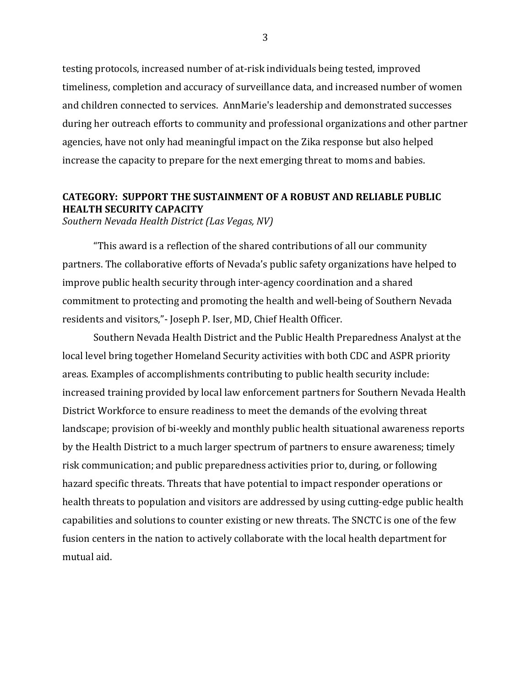testing protocols, increased number of at-risk individuals being tested, improved timeliness, completion and accuracy of surveillance data, and increased number of women and children connected to services. AnnMarie's leadership and demonstrated successes during her outreach efforts to community and professional organizations and other partner agencies, have not only had meaningful impact on the Zika response but also helped increase the capacity to prepare for the next emerging threat to moms and babies.

### **CATEGORY: SUPPORT THE SUSTAINMENT OF A ROBUST AND RELIABLE PUBLIC HEALTH SECURITY CAPACITY**

*Southern Nevada Health District (Las Vegas, NV)*

"This award is a reflection of the shared contributions of all our community partners. The collaborative efforts of Nevada's public safety organizations have helped to improve public health security through inter-agency coordination and a shared commitment to protecting and promoting the health and well-being of Southern Nevada residents and visitors,"- Joseph P. Iser, MD, Chief Health Officer.

Southern Nevada Health District and the Public Health Preparedness Analyst at the local level bring together Homeland Security activities with both CDC and ASPR priority areas. Examples of accomplishments contributing to public health security include: increased training provided by local law enforcement partners for Southern Nevada Health District Workforce to ensure readiness to meet the demands of the evolving threat landscape; provision of bi-weekly and monthly public health situational awareness reports by the Health District to a much larger spectrum of partners to ensure awareness; timely risk communication; and public preparedness activities prior to, during, or following hazard specific threats. Threats that have potential to impact responder operations or health threats to population and visitors are addressed by using cutting-edge public health capabilities and solutions to counter existing or new threats. The SNCTC is one of the few fusion centers in the nation to actively collaborate with the local health department for mutual aid.